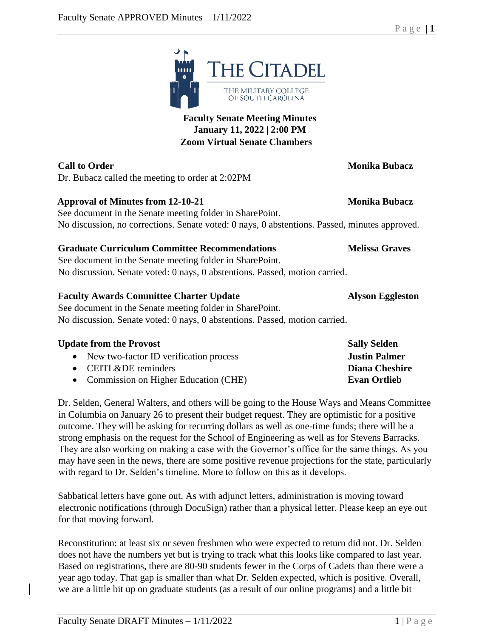THE MILITARY COLLEGE OF SOUTH CAROLINA **Faculty Senate Meeting Minutes January 11, 2022 | 2:00 PM Zoom Virtual Senate Chambers**

**THE CITADEL** 

Dr. Bubacz called the meeting to order at 2:02PM

# **Approval of Minutes from 12-10-21 Monika Bubacz**

See document in the Senate meeting folder in SharePoint. No discussion, no corrections. Senate voted: 0 nays, 0 abstentions. Passed, minutes approved.

# **Graduate Curriculum Committee Recommendations Melissa Graves**

See document in the Senate meeting folder in SharePoint. No discussion. Senate voted: 0 nays, 0 abstentions. Passed, motion carried.

# **Faculty Awards Committee Charter Update Alyson Eggleston**

See document in the Senate meeting folder in SharePoint. No discussion. Senate voted: 0 nays, 0 abstentions. Passed, motion carried.

| <b>Sally Selden</b>  |
|----------------------|
| <b>Justin Palmer</b> |
| Diana Cheshire       |
| <b>Evan Ortlieb</b>  |
|                      |

Dr. Selden, General Walters, and others will be going to the House Ways and Means Committee in Columbia on January 26 to present their budget request. They are optimistic for a positive outcome. They will be asking for recurring dollars as well as one-time funds; there will be a strong emphasis on the request for the School of Engineering as well as for Stevens Barracks. They are also working on making a case with the Governor's office for the same things. As you may have seen in the news, there are some positive revenue projections for the state, particularly with regard to Dr. Selden's timeline. More to follow on this as it develops.

Sabbatical letters have gone out. As with adjunct letters, administration is moving toward electronic notifications (through DocuSign) rather than a physical letter. Please keep an eye out for that moving forward.

Reconstitution: at least six or seven freshmen who were expected to return did not. Dr. Selden does not have the numbers yet but is trying to track what this looks like compared to last year. Based on registrations, there are 80-90 students fewer in the Corps of Cadets than there were a year ago today. That gap is smaller than what Dr. Selden expected, which is positive. Overall, we are a little bit up on graduate students (as a result of our online programs) and a little bit

# P a g e | **1**

**Call to Order Monika Bubacz**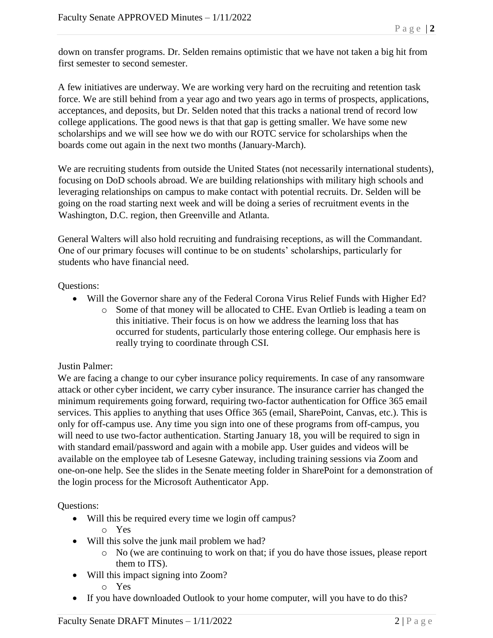down on transfer programs. Dr. Selden remains optimistic that we have not taken a big hit from first semester to second semester.

A few initiatives are underway. We are working very hard on the recruiting and retention task force. We are still behind from a year ago and two years ago in terms of prospects, applications, acceptances, and deposits, but Dr. Selden noted that this tracks a national trend of record low college applications. The good news is that that gap is getting smaller. We have some new scholarships and we will see how we do with our ROTC service for scholarships when the boards come out again in the next two months (January-March).

We are recruiting students from outside the United States (not necessarily international students), focusing on DoD schools abroad. We are building relationships with military high schools and leveraging relationships on campus to make contact with potential recruits. Dr. Selden will be going on the road starting next week and will be doing a series of recruitment events in the Washington, D.C. region, then Greenville and Atlanta.

General Walters will also hold recruiting and fundraising receptions, as will the Commandant. One of our primary focuses will continue to be on students' scholarships, particularly for students who have financial need.

# Questions:

- Will the Governor share any of the Federal Corona Virus Relief Funds with Higher Ed?
	- o Some of that money will be allocated to CHE. Evan Ortlieb is leading a team on this initiative. Their focus is on how we address the learning loss that has occurred for students, particularly those entering college. Our emphasis here is really trying to coordinate through CSI.

# Justin Palmer:

We are facing a change to our cyber insurance policy requirements. In case of any ransomware attack or other cyber incident, we carry cyber insurance. The insurance carrier has changed the minimum requirements going forward, requiring two-factor authentication for Office 365 email services. This applies to anything that uses Office 365 (email, SharePoint, Canvas, etc.). This is only for off-campus use. Any time you sign into one of these programs from off-campus, you will need to use two-factor authentication. Starting January 18, you will be required to sign in with standard email/password and again with a mobile app. User guides and videos will be available on the employee tab of Lesesne Gateway, including training sessions via Zoom and one-on-one help. See the slides in the Senate meeting folder in SharePoint for a demonstration of the login process for the Microsoft Authenticator App.

Questions:

- Will this be required every time we login off campus?
	- o Yes
- Will this solve the junk mail problem we had?
	- o No (we are continuing to work on that; if you do have those issues, please report them to ITS).
- Will this impact signing into Zoom?
	- o Yes
- If you have downloaded Outlook to your home computer, will you have to do this?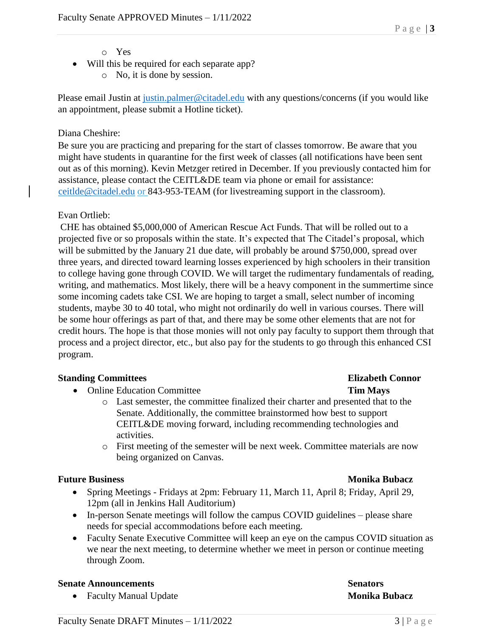### o Yes

• Will this be required for each separate app? o No, it is done by session.

Please email Justin at [justin.palmer@citadel.edu](mailto:justin.palmer@citadel.edu) with any questions/concerns (if you would like an appointment, please submit a Hotline ticket).

### Diana Cheshire:

Be sure you are practicing and preparing for the start of classes tomorrow. Be aware that you might have students in quarantine for the first week of classes (all notifications have been sent out as of this morning). Kevin Metzger retired in December. If you previously contacted him for assistance, please contact the CEITL&DE team via phone or email for assistance: [ceitlde@citadel.edu](mailto:ceitlde@citadel.edu) or 843-953-TEAM (for livestreaming support in the classroom).

### Evan Ortlieb:

CHE has obtained \$5,000,000 of American Rescue Act Funds. That will be rolled out to a projected five or so proposals within the state. It's expected that The Citadel's proposal, which will be submitted by the January 21 due date, will probably be around \$750,000, spread over three years, and directed toward learning losses experienced by high schoolers in their transition to college having gone through COVID. We will target the rudimentary fundamentals of reading, writing, and mathematics. Most likely, there will be a heavy component in the summertime since some incoming cadets take CSI. We are hoping to target a small, select number of incoming students, maybe 30 to 40 total, who might not ordinarily do well in various courses. There will be some hour offerings as part of that, and there may be some other elements that are not for credit hours. The hope is that those monies will not only pay faculty to support them through that process and a project director, etc., but also pay for the students to go through this enhanced CSI program.

### **Standing Committees Elizabeth Connor**

- Online Education Committee **Tim Mays**
	- o Last semester, the committee finalized their charter and presented that to the Senate. Additionally, the committee brainstormed how best to support CEITL&DE moving forward, including recommending technologies and activities.
	- o First meeting of the semester will be next week. Committee materials are now being organized on Canvas.

### **Future Business Monika Bubacz**

- Spring Meetings Fridays at 2pm: February 11, March 11, April 8; Friday, April 29, 12pm (all in Jenkins Hall Auditorium)
- In-person Senate meetings will follow the campus COVID guidelines please share needs for special accommodations before each meeting.
- Faculty Senate Executive Committee will keep an eye on the campus COVID situation as we near the next meeting, to determine whether we meet in person or continue meeting through Zoom.

### **Senate Announcements Senators**

• Faculty Manual Update **Monika Bubacz**